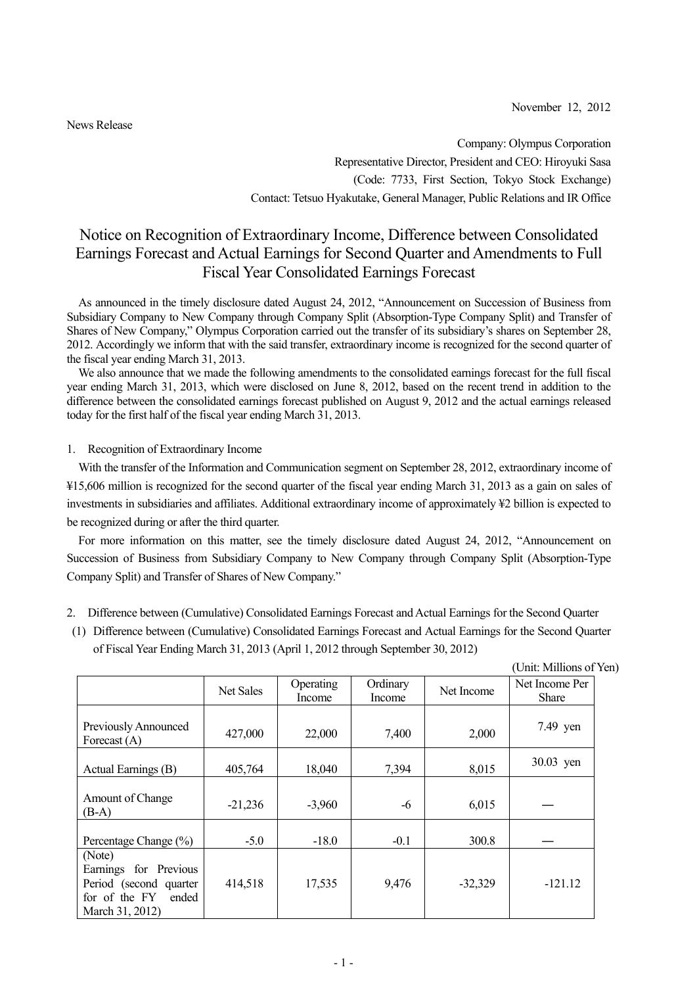November 12, 2012

News Release

Company: Olympus Corporation Representative Director, President and CEO: Hiroyuki Sasa (Code: 7733, First Section, Tokyo Stock Exchange) Contact: Tetsuo Hyakutake, General Manager, Public Relations and IR Office

## Notice on Recognition of Extraordinary Income, Difference between Consolidated Earnings Forecast and Actual Earnings for Second Quarter and Amendments to Full Fiscal Year Consolidated Earnings Forecast

As announced in the timely disclosure dated August 24, 2012, "Announcement on Succession of Business from Subsidiary Company to New Company through Company Split (Absorption-Type Company Split) and Transfer of Shares of New Company," Olympus Corporation carried out the transfer of its subsidiary's shares on September 28, 2012. Accordingly we inform that with the said transfer, extraordinary income is recognized for the second quarter of the fiscal year ending March 31, 2013.

We also announce that we made the following amendments to the consolidated earnings forecast for the full fiscal year ending March 31, 2013, which were disclosed on June 8, 2012, based on the recent trend in addition to the difference between the consolidated earnings forecast published on August 9, 2012 and the actual earnings released today for the first half of the fiscal year ending March 31, 2013.

1. Recognition of Extraordinary Income

With the transfer of the Information and Communication segment on September 28, 2012, extraordinary income of ¥15,606 million is recognized for the second quarter of the fiscal year ending March 31, 2013 as a gain on sales of investments in subsidiaries and affiliates. Additional extraordinary income of approximately ¥2 billion is expected to be recognized during or after the third quarter.

For more information on this matter, see the timely disclosure dated August 24, 2012, "Announcement on Succession of Business from Subsidiary Company to New Company through Company Split (Absorption-Type Company Split) and Transfer of Shares of New Company."

- 2. Difference between (Cumulative) Consolidated Earnings Forecast and Actual Earnings for the Second Quarter
- (1) Difference between (Cumulative) Consolidated Earnings Forecast and Actual Earnings for the Second Quarter of Fiscal Year Ending March 31, 2013 (April 1, 2012 through September 30, 2012)

|                                                                                                        |           |                            |                    |            | (Unit: Millions of Yen)        |  |
|--------------------------------------------------------------------------------------------------------|-----------|----------------------------|--------------------|------------|--------------------------------|--|
|                                                                                                        | Net Sales | <b>Operating</b><br>Income | Ordinary<br>Income | Net Income | Net Income Per<br><b>Share</b> |  |
| Previously Announced<br>Forecast $(A)$                                                                 | 427,000   | 22,000                     | 7,400              | 2,000      | 7.49 yen                       |  |
| Actual Earnings (B)                                                                                    | 405,764   | 18,040                     | 7,394              | 8,015      | 30.03 yen                      |  |
| Amount of Change<br>$(B-A)$                                                                            | $-21,236$ | $-3,960$                   | -6                 | 6,015      |                                |  |
| Percentage Change (%)                                                                                  | $-5.0$    | $-18.0$                    | $-0.1$             | 300.8      |                                |  |
| (Note)<br>Earnings for Previous<br>Period (second quarter<br>for of the FY<br>ended<br>March 31, 2012) | 414,518   | 17,535                     | 9,476              | $-32,329$  | $-121.12$                      |  |